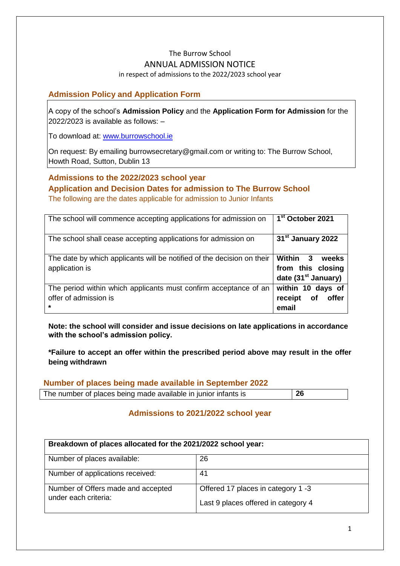# The Burrow School ANNUAL ADMISSION NOTICE

#### in respect of admissions to the 2022/2023 school year

### **Admission Policy and Application Form**

A copy of the school's **Admission Policy** and the **Application Form for Admission** for the 2022/2023 is available as follows: –

To download at: www.burrowschool.ie

On request: By emailing burrowsecretary@gmail.com or writing to: The Burrow School, Howth Road, Sutton, Dublin 13

## **Admissions to the 2022/2023 school year Application and Decision Dates for admission to The Burrow School**

The following are the dates applicable for admission to Junior Infants

| The school will commence accepting applications for admission on                                     | 1 <sup>st</sup> October 2021                                              |
|------------------------------------------------------------------------------------------------------|---------------------------------------------------------------------------|
| The school shall cease accepting applications for admission on                                       | 31 <sup>st</sup> January 2022                                             |
| The date by which applicants will be notified of the decision on their<br>application is             | Within 3<br>weeks<br>from this closing<br>date (31 <sup>st</sup> January) |
| The period within which applicants must confirm acceptance of an<br>offer of admission is<br>$\star$ | within 10 days of<br>receipt of<br>offer<br>email                         |

**Note: the school will consider and issue decisions on late applications in accordance with the school's admission policy.**

**\*Failure to accept an offer within the prescribed period above may result in the offer being withdrawn**

### **Number of places being made available in September 2022**

| The number of places being made available in junior infants is | 26 |
|----------------------------------------------------------------|----|
|                                                                |    |

## **Admissions to 2021/2022 school year**

| Breakdown of places allocated for the 2021/2022 school year: |                                                                           |  |
|--------------------------------------------------------------|---------------------------------------------------------------------------|--|
| Number of places available:                                  | 26                                                                        |  |
| Number of applications received:                             | 41                                                                        |  |
| Number of Offers made and accepted<br>under each criteria:   | Offered 17 places in category 1 -3<br>Last 9 places offered in category 4 |  |